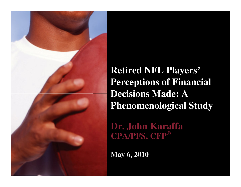

**Retired NFL Players' Perceptions of Financial Decisions Made: A Phenomenological Study**

**Dr. John Karaffa CPA/PFS, CFP®**

**May 6, 2010**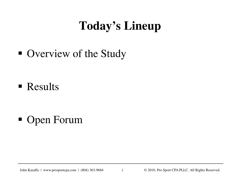## **Today's Lineup**

■ Overview of the Study

- **Results**
- Open Forum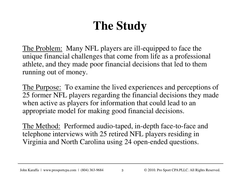# **The Study**

The Problem: Many NFL players are ill-equipped to face the unique financial challenges that come from life as a professional athlete, and they made poor financial decisions that led to them running out of money.

The Purpose: To examine the lived experiences and perceptions of 25 former NFL players regarding the financial decisions they made when active as players for information that could lead to an appropriate model for making good financial decisions.

The Method: Performed audio-taped, in-depth face-to-face and telephone interviews with 25 retired NFL players residing in Virginia and North Carolina using 24 open-ended questions.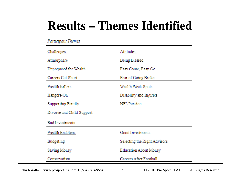## **Results – Themes Identified**

#### Participant Themes

| Challenges:               | Attitudes:                   |
|---------------------------|------------------------------|
| Atmosphere                | Being Blessed                |
| Unprepared for Wealth     | Easy Come, Easy Go           |
| Careers Cut Short         | Fear of Going Broke          |
| Wealth Killers:           | Wealth Weak Spots:           |
| Hangers-On                | Disability and Injuries      |
| <b>Supporting Family</b>  | NFL Pension                  |
| Divorce and Child Support |                              |
| <b>Bad Investments</b>    |                              |
| Wealth Enablers:          | Good Investments             |
| Budgeting                 | Selecting the Right Advisors |
| Saving Money              | <b>Education About Money</b> |
| Conservatism              | Careers After Football       |
|                           |                              |

John Karaffa | www.prosportcpa.com | (804) 363-9684 <a>

 $© 2010$ . Pro Sport CPA PLLC. All Rights Reserved.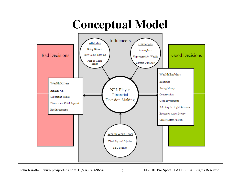## **Conceptual Model**



John Karaffa | www.prosportcpa.com | (804) 363-9684 5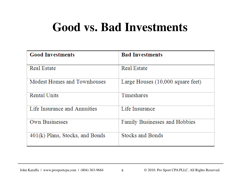#### **Good vs. Bad Investments**

| <b>Good Investments</b>         | <b>Bad Investments</b>            |
|---------------------------------|-----------------------------------|
| <b>Real Estate</b>              | <b>Real Estate</b>                |
| Modest Homes and Townhouses     | Large Houses (10,000 square feet) |
| Rental Units                    | Timeshares                        |
| Life Insurance and Annuities    | Life Insurance                    |
| <b>Own Businesses</b>           | Family Businesses and Hobbies     |
| 401(k) Plans, Stocks, and Bonds | Stocks and Bonds                  |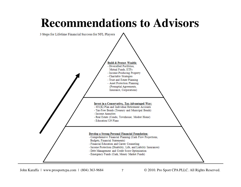#### **Recommendations to Advisors**



John Karaffa | www.prosportcpa.com |  $(804)$  363-9684  $\overline{7}$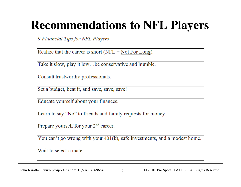#### **Recommendations to NFL Players**

9 Financial Tips for NFL Players

Realize that the career is short ( $NFL = Not For Long$ ).

Take it slow, play it low...be conservative and humble.

Consult trustworthy professionals.

Set a budget, beat it, and save, save, save!

Educate yourself about your finances.

Learn to say "No" to friends and family requests for money.

Prepare yourself for your 2<sup>nd</sup> career.

You can't go wrong with your  $401(k)$ , safe investments, and a modest home.

Wait to select a mate.